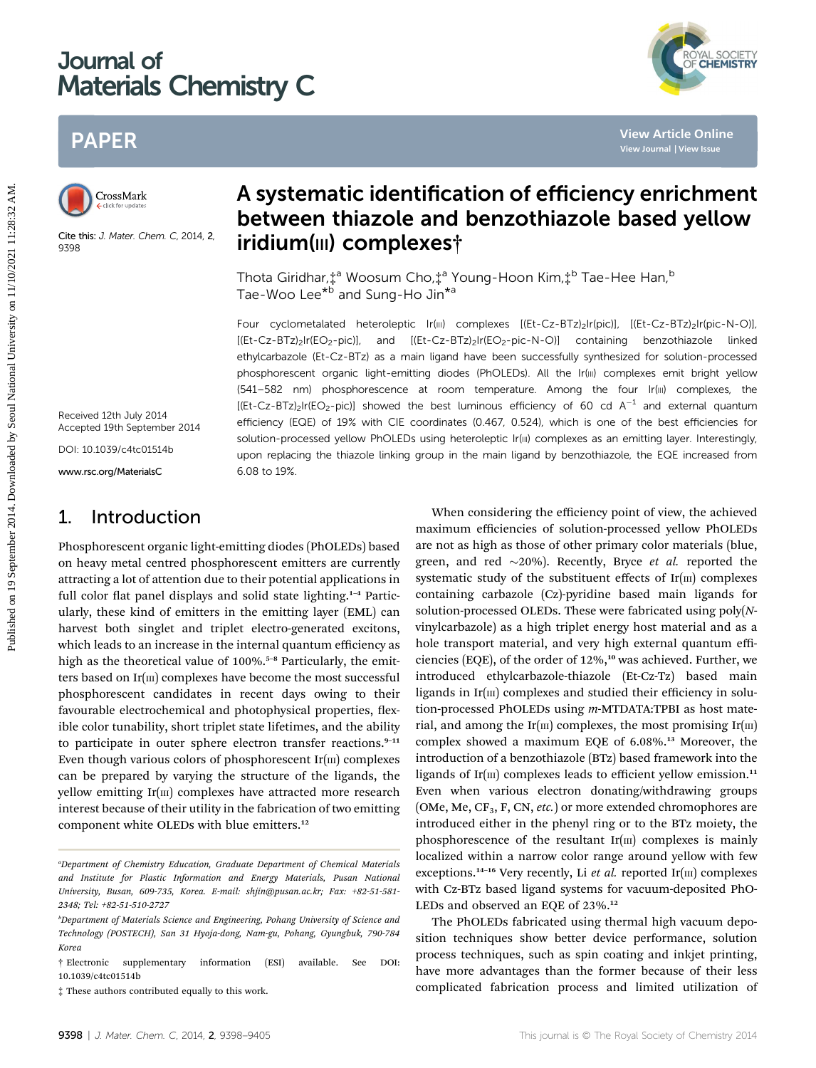# Journal of Materials Chemistry C

# PAPER



Cite this: J. Mater. Chem. C, 2014, 2, 9398

# A systematic identification of efficiency enrichment between thiazole and benzothiazole based yellow iridium(III) complexes†

YAL SOCIETY<br>CHEMISTRY

Thota Giridhar,  $\ddagger$ <sup>a</sup> Woosum Cho,  $\ddagger$ <sup>a</sup> Young-Hoon Kim,  $\ddagger$ <sup>b</sup> Tae-Hee Han, <sup>b</sup> Tae-Woo Lee<sup>\*b</sup> and Sung-Ho Jin<sup>\*a</sup>

Four cyclometalated heteroleptic Ir(III) complexes [(Et-Cz-BTz)<sub>2</sub>Ir(pic)], [(Et-Cz-BTz)<sub>2</sub>Ir(pic-N-O)], [(Et-Cz-BTz)<sub>2</sub>Ir(EO<sub>2</sub>-pic)], and [(Et-Cz-BTz)<sub>2</sub>Ir(EO<sub>2</sub>-pic-N-O)] containing benzothiazole linked ethylcarbazole (Et-Cz-BTz) as a main ligand have been successfully synthesized for solution-processed phosphorescent organic light-emitting diodes (PhOLEDs). All the Ir(III) complexes emit bright yellow (541–582 nm) phosphorescence at room temperature. Among the four Ir(III) complexes, the  $[(Et-Cz-BTz)<sub>2</sub>Ir(EO<sub>2</sub>-pic)]$  showed the best luminous efficiency of 60 cd A<sup>-1</sup> and external quantum efficiency (EQE) of 19% with CIE coordinates (0.467, 0.524), which is one of the best efficiencies for solution-processed yellow PhOLEDs using heteroleptic Ir(III) complexes as an emitting layer. Interestingly, upon replacing the thiazole linking group in the main ligand by benzothiazole, the EQE increased from 6.08 to 19%. PAPER<br>
Published on 19 Systematic identification of efficiency enrichments<br>
Consider the system of the constrained by Seoul National University on 11/11/2021 2014<br>
The Griddent (11/11/2021 2014) 2014<br>
The Griddent (11/2022

Received 12th July 2014 Accepted 19th September 2014

DOI: 10.1039/c4tc01514b

www.rsc.org/MaterialsC

# 1. Introduction

Phosphorescent organic light-emitting diodes (PhOLEDs) based on heavy metal centred phosphorescent emitters are currently attracting a lot of attention due to their potential applications in full color flat panel displays and solid state lighting.<sup>1-4</sup> Particularly, these kind of emitters in the emitting layer (EML) can harvest both singlet and triplet electro-generated excitons, which leads to an increase in the internal quantum efficiency as high as the theoretical value of 100%.<sup>5-8</sup> Particularly, the emitters based on  $Ir(m)$  complexes have become the most successful phosphorescent candidates in recent days owing to their favourable electrochemical and photophysical properties, flexible color tunability, short triplet state lifetimes, and the ability to participate in outer sphere electron transfer reactions. $9-11$ Even though various colors of phosphorescent  $Ir(m)$  complexes can be prepared by varying the structure of the ligands, the yellow emitting  $Ir(m)$  complexes have attracted more research interest because of their utility in the fabrication of two emitting component white OLEDs with blue emitters.<sup>12</sup>

When considering the efficiency point of view, the achieved maximum efficiencies of solution-processed yellow PhOLEDs are not as high as those of other primary color materials (blue, green, and red  $\sim$ 20%). Recently, Bryce *et al.* reported the systematic study of the substituent effects of  $Ir(m)$  complexes containing carbazole (Cz)-pyridine based main ligands for solution-processed OLEDs. These were fabricated using poly(Nvinylcarbazole) as a high triplet energy host material and as a hole transport material, and very high external quantum efficiencies (EQE), of the order of 12%,<sup>10</sup> was achieved. Further, we introduced ethylcarbazole-thiazole (Et-Cz-Tz) based main ligands in  $Ir(m)$  complexes and studied their efficiency in solution-processed PhOLEDs using m-MTDATA:TPBI as host material, and among the Ir( $\text{m}$ ) complexes, the most promising Ir( $\text{m}$ ) complex showed a maximum EQE of 6.08%.<sup>13</sup> Moreover, the introduction of a benzothiazole (BTz) based framework into the ligands of Ir( $\text{III}$ ) complexes leads to efficient yellow emission.<sup>11</sup> Even when various electron donating/withdrawing groups (OMe, Me,  $CF_3$ , F, CN, *etc.*) or more extended chromophores are introduced either in the phenyl ring or to the BTz moiety, the phosphorescence of the resultant  $Ir(m)$  complexes is mainly localized within a narrow color range around yellow with few exceptions.<sup>14-16</sup> Very recently, Li et al. reported Ir( $\text{III}$ ) complexes with Cz-BTz based ligand systems for vacuum-deposited PhO-LEDs and observed an EQE of 23%.<sup>12</sup>

The PhOLEDs fabricated using thermal high vacuum deposition techniques show better device performance, solution process techniques, such as spin coating and inkjet printing, have more advantages than the former because of their less complicated fabrication process and limited utilization of

a Department of Chemistry Education, Graduate Department of Chemical Materials and Institute for Plastic Information and Energy Materials, Pusan National University, Busan, 609-735, Korea. E-mail: shjin@pusan.ac.kr; Fax: +82-51-581- 2348; Tel: +82-51-510-2727

b Department of Materials Science and Engineering, Pohang University of Science and Technology (POSTECH), San 31 Hyoja-dong, Nam-gu, Pohang, Gyungbuk, 790-784 Korea

<sup>†</sup> Electronic supplementary information (ESI) available. See DOI: 10.1039/c4tc01514b

<sup>‡</sup> These authors contributed equally to this work.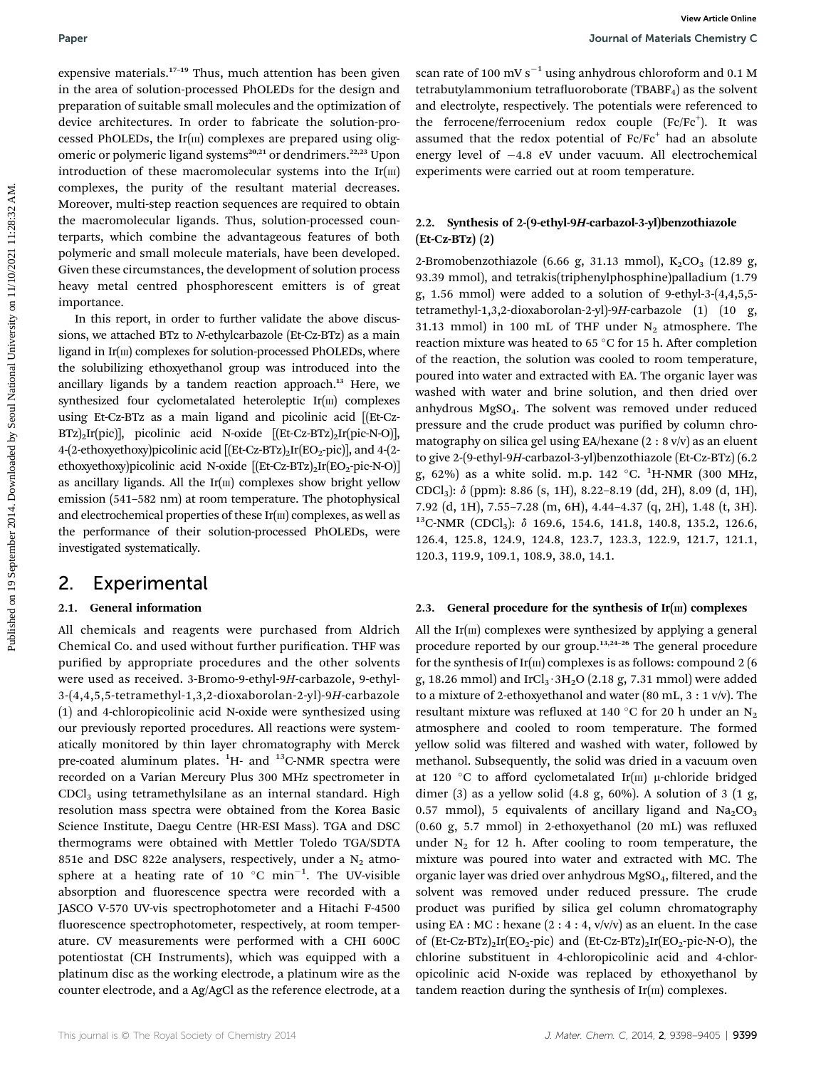expensive materials.<sup>17-19</sup> Thus, much attention has been given in the area of solution-processed PhOLEDs for the design and preparation of suitable small molecules and the optimization of device architectures. In order to fabricate the solution-processed PhOLEDs, the Ir $(m)$  complexes are prepared using oligomeric or polymeric ligand systems<sup>20,21</sup> or dendrimers.<sup>22,23</sup> Upon introduction of these macromolecular systems into the  $Ir(m)$ complexes, the purity of the resultant material decreases. Moreover, multi-step reaction sequences are required to obtain the macromolecular ligands. Thus, solution-processed counterparts, which combine the advantageous features of both polymeric and small molecule materials, have been developed. Given these circumstances, the development of solution process heavy metal centred phosphorescent emitters is of great importance.

In this report, in order to further validate the above discussions, we attached BTz to N-ethylcarbazole (Et-Cz-BTz) as a main ligand in  $Ir(m)$  complexes for solution-processed PhOLEDs, where the solubilizing ethoxyethanol group was introduced into the ancillary ligands by a tandem reaction approach.<sup>13</sup> Here, we synthesized four cyclometalated heteroleptic  $Ir(m)$  complexes using Et-Cz-BTz as a main ligand and picolinic acid [(Et-Cz- $BTz)_2Ir(pic)$ ], picolinic acid N-oxide  $[(Et-Cz-BTz)_2Ir(pic-N-O)]$ , 4-(2-ethoxyethoxy)picolinic acid  $[(Et-Cz-BTz)_{2}Ir(EO_{2}-pic)],$  and 4-(2ethoxyethoxy)picolinic acid N-oxide [[Et-Cz-BTz)<sub>2</sub>Ir(EO<sub>2</sub>-pic-N-O]] as ancillary ligands. All the  $Ir(m)$  complexes show bright yellow emission (541–582 nm) at room temperature. The photophysical and electrochemical properties of these  $Ir(m)$  complexes, as well as the performance of their solution-processed PhOLEDs, were investigated systematically.

## 2. Experimental

#### 2.1. General information

All chemicals and reagents were purchased from Aldrich Chemical Co. and used without further purification. THF was purified by appropriate procedures and the other solvents were used as received. 3-Bromo-9-ethyl-9H-carbazole, 9-ethyl-3-(4,4,5,5-tetramethyl-1,3,2-dioxaborolan-2-yl)-9H-carbazole (1) and 4-chloropicolinic acid N-oxide were synthesized using our previously reported procedures. All reactions were systematically monitored by thin layer chromatography with Merck pre-coated aluminum plates.  ${}^{1}$ H- and  ${}^{13}$ C-NMR spectra were recorded on a Varian Mercury Plus 300 MHz spectrometer in CDCl3 using tetramethylsilane as an internal standard. High resolution mass spectra were obtained from the Korea Basic Science Institute, Daegu Centre (HR-ESI Mass). TGA and DSC thermograms were obtained with Mettler Toledo TGA/SDTA 851e and DSC 822e analysers, respectively, under a  $N_2$  atmosphere at a heating rate of 10  $^{\circ}$ C min<sup>-1</sup>. The UV-visible absorption and fluorescence spectra were recorded with a JASCO V-570 UV-vis spectrophotometer and a Hitachi F-4500 fluorescence spectrophotometer, respectively, at room temperature. CV measurements were performed with a CHI 600C potentiostat (CH Instruments), which was equipped with a platinum disc as the working electrode, a platinum wire as the counter electrode, and a Ag/AgCl as the reference electrode, at a

scan rate of 100 mV  $s^{-1}$  using anhydrous chloroform and 0.1 M tetrabutylammonium tetrafluoroborate (TBABF<sub>4</sub>) as the solvent and electrolyte, respectively. The potentials were referenced to the ferrocene/ferrocenium redox couple (Fc/Fc<sup>+</sup>). It was assumed that the redox potential of  $Fc/Fc^+$  had an absolute energy level of  $-4.8$  eV under vacuum. All electrochemical experiments were carried out at room temperature.

#### 2.2. Synthesis of 2-(9-ethyl-9H-carbazol-3-yl)benzothiazole (Et-Cz-BTz) (2)

2-Bromobenzothiazole (6.66 g, 31.13 mmol),  $K_2CO_3$  (12.89 g, 93.39 mmol), and tetrakis(triphenylphosphine)palladium (1.79 g, 1.56 mmol) were added to a solution of 9-ethyl-3-(4,4,5,5 tetramethyl-1,3,2-dioxaborolan-2-yl)-9H-carbazole (1) (10 g, 31.13 mmol) in 100 mL of THF under  $N_2$  atmosphere. The reaction mixture was heated to 65  $^{\circ}$ C for 15 h. After completion of the reaction, the solution was cooled to room temperature, poured into water and extracted with EA. The organic layer was washed with water and brine solution, and then dried over anhydrous  $MgSO<sub>4</sub>$ . The solvent was removed under reduced pressure and the crude product was purified by column chromatography on silica gel using EA/hexane  $(2: 8 \text{ v/v})$  as an eluent to give 2-(9-ethyl-9H-carbazol-3-yl)benzothiazole (Et-Cz-BTz) (6.2 g, 62%) as a white solid. m.p. 142  $^{\circ}$ C. <sup>1</sup>H-NMR (300 MHz, CDCl3): d (ppm): 8.86 (s, 1H), 8.22–8.19 (dd, 2H), 8.09 (d, 1H), 7.92 (d, 1H), 7.55–7.28 (m, 6H), 4.44–4.37 (q, 2H), 1.48 (t, 3H). <sup>13</sup>C-NMR (CDCl<sub>3</sub>): δ 169.6, 154.6, 141.8, 140.8, 135.2, 126.6, 126.4, 125.8, 124.9, 124.8, 123.7, 123.3, 122.9, 121.7, 121.1, 120.3, 119.9, 109.1, 108.9, 38.0, 14.1. **Puer and the continue of the state of the continue of the continue of the continue of the continue of the continue of the continue of the continue of the continue of the continue of the continue of the continue of the co** 

#### 2.3. General procedure for the synthesis of  $Ir(m)$  complexes

All the  $Ir(m)$  complexes were synthesized by applying a general procedure reported by our group.13,24–<sup>26</sup> The general procedure for the synthesis of  $Ir(m)$  complexes is as follows: compound 2 (6) g, 18.26 mmol) and IrCl<sub>3</sub> $\cdot$ 3H<sub>2</sub>O (2.18 g, 7.31 mmol) were added to a mixture of 2-ethoxyethanol and water (80 mL, 3 : 1 v/v). The resultant mixture was refluxed at 140 °C for 20 h under an  $N_2$ atmosphere and cooled to room temperature. The formed yellow solid was filtered and washed with water, followed by methanol. Subsequently, the solid was dried in a vacuum oven at 120 °C to afford cyclometalated Ir(m)  $\mu$ -chloride bridged dimer (3) as a yellow solid (4.8 g, 60%). A solution of 3 (1 g, 0.57 mmol), 5 equivalents of ancillary ligand and  $\text{Na}_2\text{CO}_3$  $(0.60 \text{ g}, 5.7 \text{ mmol})$  in 2-ethoxyethanol  $(20 \text{ mL})$  was refluxed under  $N_2$  for 12 h. After cooling to room temperature, the mixture was poured into water and extracted with MC. The organic layer was dried over anhydrous  $MgSO<sub>4</sub>$ , filtered, and the solvent was removed under reduced pressure. The crude product was purified by silica gel column chromatography using EA : MC : hexane  $(2:4:4, v/v/v)$  as an eluent. In the case of  $(Et-Cz-BTz)_{2}Ir(EO_{2}-pic)$  and  $(Et-Cz-BTz)_{2}Ir(EO_{2}-pic-N-O)$ , the chlorine substituent in 4-chloropicolinic acid and 4-chloropicolinic acid N-oxide was replaced by ethoxyethanol by tandem reaction during the synthesis of  $Ir(m)$  complexes.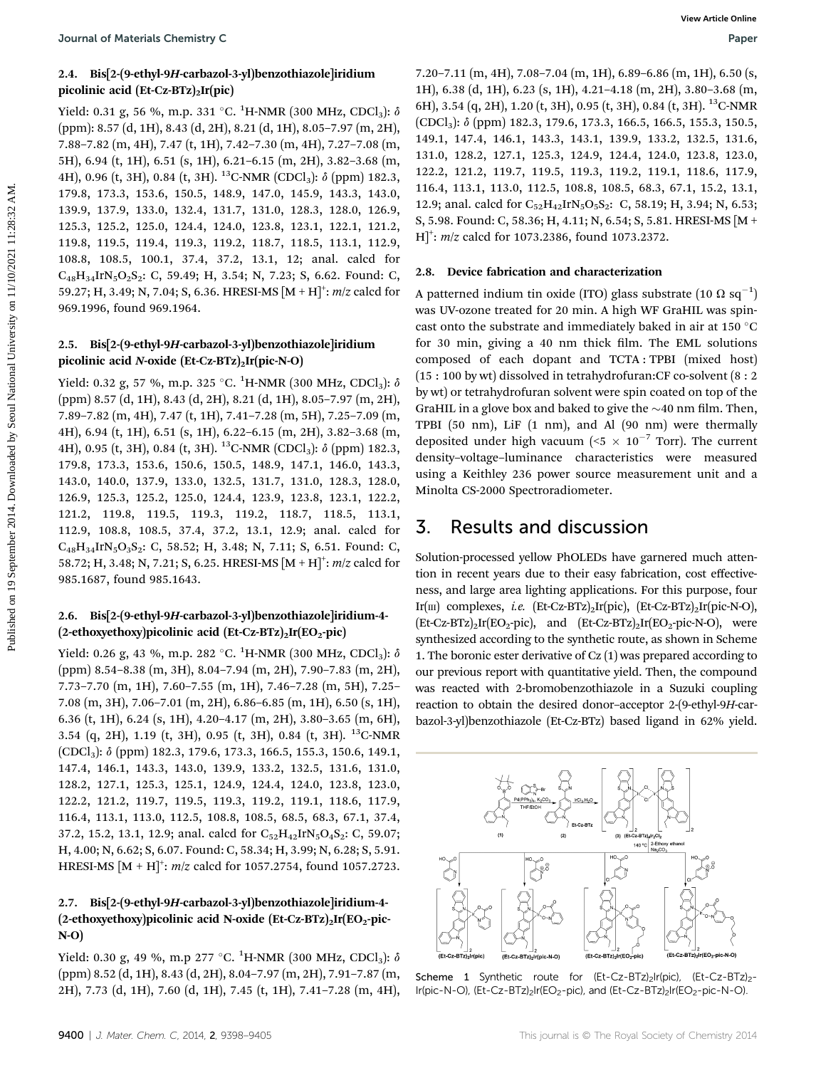#### 2.4. Bis[2-(9-ethyl-9H-carbazol-3-yl)benzothiazole]iridium picolinic acid  $(Et-Cz-BTz)_{2}Ir(pic)$

Yield: 0.31 g, 56 %, m.p. 331 °C.  $^1$ H-NMR (300 MHz, CDCl<sub>3</sub>):  $\delta$ (ppm): 8.57 (d, 1H), 8.43 (d, 2H), 8.21 (d, 1H), 8.05–7.97 (m, 2H), 7.88–7.82 (m, 4H), 7.47 (t, 1H), 7.42–7.30 (m, 4H), 7.27–7.08 (m, 5H), 6.94 (t, 1H), 6.51 (s, 1H), 6.21–6.15 (m, 2H), 3.82–3.68 (m, 4H), 0.96 (t, 3H), 0.84 (t, 3H). <sup>13</sup>C-NMR (CDCl<sub>3</sub>): δ (ppm) 182.3, 179.8, 173.3, 153.6, 150.5, 148.9, 147.0, 145.9, 143.3, 143.0, 139.9, 137.9, 133.0, 132.4, 131.7, 131.0, 128.3, 128.0, 126.9, 125.3, 125.2, 125.0, 124.4, 124.0, 123.8, 123.1, 122.1, 121.2, 119.8, 119.5, 119.4, 119.3, 119.2, 118.7, 118.5, 113.1, 112.9, 108.8, 108.5, 100.1, 37.4, 37.2, 13.1, 12; anal. calcd for  $C_{48}H_{34}IrN_5O_2S_2$ : C, 59.49; H, 3.54; N, 7.23; S, 6.62. Found: C, 59.27; H, 3.49; N, 7.04; S, 6.36. HRESI-MS  $[M + H]^{+}$ : m/z calcd for 969.1996, found 969.1964. **Pour and Meterials Chemicaly C**<br>
2.4. Big Q-cubyl-21:candaxol-3-pillocanolisaole.[kidion<br>
1.9.0.2011 (m, 44) 2.82 5.24 (m, b, 3.21 (m, b, 3.21 (m, b, 3.21 (m, b, 3.21 (m, b, 3.21 (m, b, 3.21 (m, b, 4.21 (m, b, 4.21 (m, b

#### 2.5. Bis[2-(9-ethyl-9H-carbazol-3-yl)benzothiazole]iridium picolinic acid N-oxide (Et-Cz-BTz)<sub>2</sub>Ir(pic-N-O)

Yield: 0.32 g, 57 %, m.p. 325 °C.  $^1$ H-NMR (300 MHz, CDCl<sub>3</sub>):  $\delta$ (ppm) 8.57 (d, 1H), 8.43 (d, 2H), 8.21 (d, 1H), 8.05–7.97 (m, 2H), 7.89–7.82 (m, 4H), 7.47 (t, 1H), 7.41–7.28 (m, 5H), 7.25–7.09 (m, 4H), 6.94 (t, 1H), 6.51 (s, 1H), 6.22–6.15 (m, 2H), 3.82–3.68 (m, 4H), 0.95 (t, 3H), 0.84 (t, 3H). <sup>13</sup>C-NMR (CDCl<sub>3</sub>):  $\delta$  (ppm) 182.3, 179.8, 173.3, 153.6, 150.6, 150.5, 148.9, 147.1, 146.0, 143.3, 143.0, 140.0, 137.9, 133.0, 132.5, 131.7, 131.0, 128.3, 128.0, 126.9, 125.3, 125.2, 125.0, 124.4, 123.9, 123.8, 123.1, 122.2, 121.2, 119.8, 119.5, 119.3, 119.2, 118.7, 118.5, 113.1, 112.9, 108.8, 108.5, 37.4, 37.2, 13.1, 12.9; anal. calcd for  $C_{48}H_{34}IrN_5O_3S_2$ : C, 58.52; H, 3.48; N, 7.11; S, 6.51. Found: C, 58.72; H, 3.48; N, 7.21; S, 6.25. HRESI-MS  $[M + H]^{+}$ : m/z calcd for 985.1687, found 985.1643.

#### 2.6. Bis[2-(9-ethyl-9H-carbazol-3-yl)benzothiazole]iridium-4- (2-ethoxyethoxy)picolinic acid (Et-Cz-BTz)<sub>2</sub>Ir(EO<sub>2</sub>-pic)

Yield: 0.26 g, 43 %, m.p. 282 °C. <sup>1</sup>H-NMR (300 MHz, CDCl<sub>3</sub>):  $\delta$ (ppm) 8.54–8.38 (m, 3H), 8.04–7.94 (m, 2H), 7.90–7.83 (m, 2H), 7.73–7.70 (m, 1H), 7.60–7.55 (m, 1H), 7.46–7.28 (m, 5H), 7.25– 7.08 (m, 3H), 7.06–7.01 (m, 2H), 6.86–6.85 (m, 1H), 6.50 (s, 1H), 6.36 (t, 1H), 6.24 (s, 1H), 4.20–4.17 (m, 2H), 3.80–3.65 (m, 6H), 3.54 (q, 2H), 1.19 (t, 3H), 0.95 (t, 3H), 0.84 (t, 3H). <sup>13</sup>C-NMR (CDCl3): d (ppm) 182.3, 179.6, 173.3, 166.5, 155.3, 150.6, 149.1, 147.4, 146.1, 143.3, 143.0, 139.9, 133.2, 132.5, 131.6, 131.0, 128.2, 127.1, 125.3, 125.1, 124.9, 124.4, 124.0, 123.8, 123.0, 122.2, 121.2, 119.7, 119.5, 119.3, 119.2, 119.1, 118.6, 117.9, 116.4, 113.1, 113.0, 112.5, 108.8, 108.5, 68.5, 68.3, 67.1, 37.4, 37.2, 15.2, 13.1, 12.9; anal. calcd for  $C_{52}H_{42}IrN_5O_4S_2$ : C, 59.07; H, 4.00; N, 6.62; S, 6.07. Found: C, 58.34; H, 3.99; N, 6.28; S, 5.91. HRESI-MS  $[M + H]^{+}$ : *m*/z calcd for 1057.2754, found 1057.2723.

### 2.7. Bis[2-(9-ethyl-9H-carbazol-3-yl)benzothiazole]iridium-4- (2-ethoxyethoxy)picolinic acid N-oxide  $(Et-Cz-BTz)_{2}Ir(EO_{2}-pic-$ N-O)

Yield: 0.30 g, 49 %, m.p 277 °C.  $^{1}$ H-NMR (300 MHz, CDCl<sub>3</sub>):  $\delta$ (ppm) 8.52 (d, 1H), 8.43 (d, 2H), 8.04–7.97 (m, 2H), 7.91–7.87 (m, 2H), 7.73 (d, 1H), 7.60 (d, 1H), 7.45 (t, 1H), 7.41–7.28 (m, 4H), 7.20–7.11 (m, 4H), 7.08–7.04 (m, 1H), 6.89–6.86 (m, 1H), 6.50 (s, 1H), 6.38 (d, 1H), 6.23 (s, 1H), 4.21–4.18 (m, 2H), 3.80–3.68 (m, 6H), 3.54 (q, 2H), 1.20 (t, 3H), 0.95 (t, 3H), 0.84 (t, 3H). 13C-NMR  $(CDCl<sub>3</sub>)$ :  $\delta$  (ppm) 182.3, 179.6, 173.3, 166.5, 166.5, 155.3, 150.5, 149.1, 147.4, 146.1, 143.3, 143.1, 139.9, 133.2, 132.5, 131.6, 131.0, 128.2, 127.1, 125.3, 124.9, 124.4, 124.0, 123.8, 123.0, 122.2, 121.2, 119.7, 119.5, 119.3, 119.2, 119.1, 118.6, 117.9, 116.4, 113.1, 113.0, 112.5, 108.8, 108.5, 68.3, 67.1, 15.2, 13.1, 12.9; anal. calcd for  $C_{52}H_{42}$ IrN<sub>5</sub>O<sub>5</sub>S<sub>2</sub>: C, 58.19; H, 3.94; N, 6.53; S, 5.98. Found: C, 58.36; H, 4.11; N, 6.54; S, 5.81. HRESI-MS [M +  $[H]^{+}$ : *m*/z calcd for 1073.2386, found 1073.2372.

#### 2.8. Device fabrication and characterization

A patterned indium tin oxide (ITO) glass substrate (10  $\Omega$  sq $^{-1})$ was UV-ozone treated for 20 min. A high WF GraHIL was spincast onto the substrate and immediately baked in air at 150  $^{\circ}$ C for 30 min, giving a 40 nm thick film. The EML solutions composed of each dopant and TCTA : TPBI (mixed host) (15 : 100 by wt) dissolved in tetrahydrofuran:CF co-solvent (8 : 2 by wt) or tetrahydrofuran solvent were spin coated on top of the GraHIL in a glove box and baked to give the  $\sim$ 40 nm film. Then, TPBI (50 nm), LiF (1 nm), and Al (90 nm) were thermally deposited under high vacuum (<5  $\times$  10<sup>-7</sup> Torr). The current density–voltage–luminance characteristics were measured using a Keithley 236 power source measurement unit and a Minolta CS-2000 Spectroradiometer.

# 3. Results and discussion

Solution-processed yellow PhOLEDs have garnered much attention in recent years due to their easy fabrication, cost effectiveness, and large area lighting applications. For this purpose, four Ir(m) complexes, i.e.  $(Et-Cz-BTz)_{2}Ir(pic)$ ,  $(Et-Cz-BTz)_{2}Ir(pic-N-O)$ ,  $(Et-Cz-BTz)_{2}Ir(EO_{2}-pic), and (Et-Cz-BTz)_{2}Ir(EO_{2}-pic-N-O), were$ synthesized according to the synthetic route, as shown in Scheme 1. The boronic ester derivative of Cz (1) was prepared according to our previous report with quantitative yield. Then, the compound was reacted with 2-bromobenzothiazole in a Suzuki coupling reaction to obtain the desired donor–acceptor 2-(9-ethyl-9H-carbazol-3-yl)benzothiazole (Et-Cz-BTz) based ligand in 62% yield.



Scheme 1 Synthetic route for (Et-Cz-BTz)<sub>2</sub>Ir(pic), (Et-Cz-BTz)<sub>2</sub>-Ir(pic-N-O), (Et-Cz-BTz)<sub>2</sub>Ir(EO<sub>2</sub>-pic), and (Et-Cz-BTz)<sub>2</sub>Ir(EO<sub>2</sub>-pic-N-O).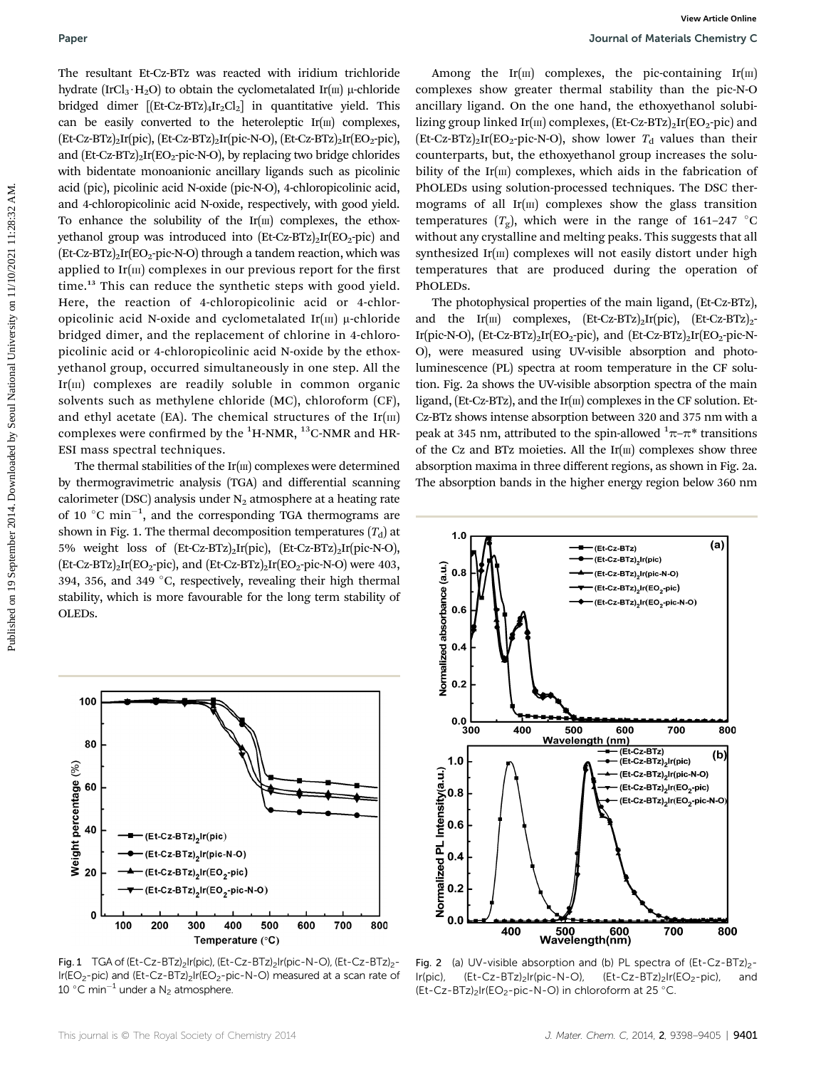The resultant Et-Cz-BTz was reacted with iridium trichloride hydrate (IrCl<sub>3</sub> $\cdot$ H<sub>2</sub>O) to obtain the cyclometalated Ir(m) µ-chloride bridged dimer  $[(Et-Cz-BTz)_{4}Ir_{2}Cl_{2}]$  in quantitative yield. This can be easily converted to the heteroleptic  $Ir(m)$  complexes,  $(Et-Cz-BTz)_{2}Ir(pic)$ ,  $(Et-Cz-BTz)_{2}Ir(pic-N-O)$ ,  $(Et-Cz-BTz)_{2}Ir(EO_{2}-pic)$ , and  $(Et-Cz-BTz)<sub>2</sub>Ir(EO<sub>2</sub>-pic-N-O)$ , by replacing two bridge chlorides with bidentate monoanionic ancillary ligands such as picolinic acid (pic), picolinic acid N-oxide (pic-N-O), 4-chloropicolinic acid, and 4-chloropicolinic acid N-oxide, respectively, with good yield. To enhance the solubility of the  $Ir(m)$  complexes, the ethoxyethanol group was introduced into  $(Et-Cz-BTz)_{2}Ir(EO_{2}-pic)$  and  $(Et-Cz-BTz)_{2}Ir(EO_{2}-pic-N-O)$  through a tandem reaction, which was applied to  $Ir(m)$  complexes in our previous report for the first time.<sup>13</sup> This can reduce the synthetic steps with good yield. Here, the reaction of 4-chloropicolinic acid or 4-chloropicolinic acid N-oxide and cyclometalated Ir $(m)$  µ-chloride bridged dimer, and the replacement of chlorine in 4-chloropicolinic acid or 4-chloropicolinic acid N-oxide by the ethoxyethanol group, occurred simultaneously in one step. All the  $Ir(m)$  complexes are readily soluble in common organic solvents such as methylene chloride (MC), chloroform (CF), and ethyl acetate (EA). The chemical structures of the  $Ir(m)$ complexes were confirmed by the  $^1{\rm H}\text{-}{\rm NMR},\,^{13}{\rm C}\text{-}{\rm NMR}$  and  ${\rm HR}$ ESI mass spectral techniques. **Puer a**<br> **Puer content of the content of the content of the state of the content of the content of the content of the content of the content of the content of the content of the state of the content of the content of the** 

The thermal stabilities of the  $Ir(m)$  complexes were determined by thermogravimetric analysis (TGA) and differential scanning calorimeter (DSC) analysis under  $N_2$  atmosphere at a heating rate of 10  $^{\circ}$ C min<sup>-1</sup>, and the corresponding TGA thermograms are shown in Fig. 1. The thermal decomposition temperatures  $(T_d)$  at 5% weight loss of (Et-Cz-BTz)2Ir(pic), (Et-Cz-BTz)2Ir(pic-N-O),  $(Et-Cz-BTz)_{2}Ir(EO_{2}-pic),$  and  $(Et-Cz-BTz)_{2}Ir(EO_{2}-pic-N-O)$  were 403, 394, 356, and 349  $\degree$ C, respectively, revealing their high thermal stability, which is more favourable for the long term stability of OLEDs.



Fig. 1 TGA of (Et-Cz-BTz)<sub>2</sub>Ir(pic), (Et-Cz-BTz)<sub>2</sub>Ir(pic-N-O), (Et-Cz-BTz)<sub>2</sub>- $Ir(EO<sub>2</sub>-pic)$  and  $(Et- Cz-BTz)<sub>2</sub>Ir(EO<sub>2</sub>-pic-NO)$  measured at a scan rate of 10 °C min<sup>-1</sup> under a N<sub>2</sub> atmosphere.

Among the Ir $(m)$  complexes, the pic-containing Ir $(m)$ complexes show greater thermal stability than the pic-N-O ancillary ligand. On the one hand, the ethoxyethanol solubilizing group linked Ir( $m$ ) complexes, (Et-Cz-BTz)<sub>2</sub>Ir(EO<sub>2</sub>-pic) and  $(Et-Cz-BTz)<sub>2</sub>Ir(EO<sub>2</sub>-pic-N-O)$ , show lower  $T<sub>d</sub>$  values than their counterparts, but, the ethoxyethanol group increases the solubility of the Ir $(m)$  complexes, which aids in the fabrication of PhOLEDs using solution-processed techniques. The DSC thermograms of all  $Ir(m)$  complexes show the glass transition temperatures  $(T_g)$ , which were in the range of 161–247 °C without any crystalline and melting peaks. This suggests that all synthesized Ir $(m)$  complexes will not easily distort under high temperatures that are produced during the operation of PhOLEDs.

The photophysical properties of the main ligand, (Et-Cz-BTz), and the Ir(III) complexes,  $(Et-Cz-BTz)_{2}Ir(pic)$ ,  $(Et-Cz-BTz)_{2}$ -Ir(pic-N-O),  $(Et-Cz-BTz)_{2}Ir(EO_{2}-pic)$ , and  $(Et-Cz-BTz)_{2}Ir(EO_{2}-pic-N-$ O), were measured using UV-visible absorption and photoluminescence (PL) spectra at room temperature in the CF solution. Fig. 2a shows the UV-visible absorption spectra of the main ligand, (Et-Cz-BTz), and the Ir( $\text{m}$ ) complexes in the CF solution. Et-Cz-BTz shows intense absorption between 320 and 375 nm with a peak at 345 nm, attributed to the spin-allowed  $\frac{1}{2}\pi-\pi^*$  transitions of the Cz and BTz moieties. All the  $Ir(m)$  complexes show three absorption maxima in three different regions, as shown in Fig. 2a. The absorption bands in the higher energy region below 360 nm



Fig. 2 (a) UV-visible absorption and (b) PL spectra of  $(Et-Cz-BTz)_{2}$ -Ir(pic),  $(Et-Cz-BTz)_{2}$ Ir(pic-N-O),  $(Et-Cz-BTz)_{2}$ Ir(EO<sub>2</sub>-pic), and (Et-Cz-BTz)<sub>2</sub>Ir(EO<sub>2</sub>-pic-N-O) in chloroform at 25 °C.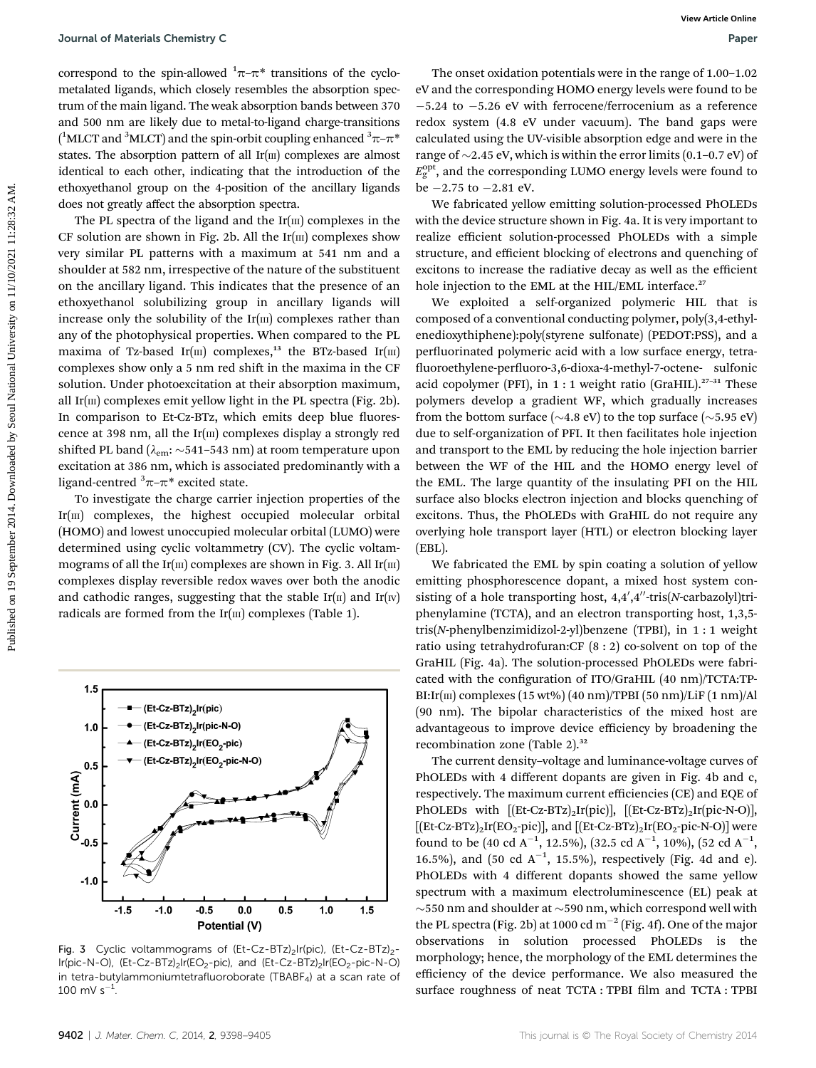correspond to the spin-allowed  $\pi-\pi^*$  transitions of the cyclometalated ligands, which closely resembles the absorption spectrum of the main ligand. The weak absorption bands between 370 and 500 nm are likely due to metal-to-ligand charge-transitions ( $^1$ MLCT and  $^3$ MLCT) and the spin-orbit coupling enhanced  $^3 \pi$ – $\pi^*$ states. The absorption pattern of all  $Ir(m)$  complexes are almost identical to each other, indicating that the introduction of the ethoxyethanol group on the 4-position of the ancillary ligands does not greatly affect the absorption spectra.

The PL spectra of the ligand and the  $Ir(m)$  complexes in the CF solution are shown in Fig. 2b. All the  $Ir(m)$  complexes show very similar PL patterns with a maximum at 541 nm and a shoulder at 582 nm, irrespective of the nature of the substituent on the ancillary ligand. This indicates that the presence of an ethoxyethanol solubilizing group in ancillary ligands will increase only the solubility of the  $Ir(m)$  complexes rather than any of the photophysical properties. When compared to the PL maxima of Tz-based Ir( $\text{III}$ ) complexes,<sup>13</sup> the BTz-based Ir( $\text{III}$ ) complexes show only a 5 nm red shift in the maxima in the CF solution. Under photoexcitation at their absorption maximum, all Ir $(m)$  complexes emit yellow light in the PL spectra (Fig. 2b). In comparison to Et-Cz-BTz, which emits deep blue fluorescence at 398 nm, all the  $Ir(m)$  complexes display a strongly red shifted PL band ( $\lambda_{em}$ : ~541–543 nm) at room temperature upon excitation at 386 nm, which is associated predominantly with a ligand-centred  $\sqrt[3]{\pi-\pi^*}$  excited state. Sources of the signing of the problem of the signing on the signing on the signing on the signing of the signing of the signing of the signing of the signing of the signing of the signing of the signing of the signing of t

To investigate the charge carrier injection properties of the Ir $(m)$  complexes, the highest occupied molecular orbital (HOMO) and lowest unoccupied molecular orbital (LUMO) were determined using cyclic voltammetry (CV). The cyclic voltammograms of all the Ir( $\text{II}$ ) complexes are shown in Fig. 3. All Ir( $\text{II}$ ) complexes display reversible redox waves over both the anodic and cathodic ranges, suggesting that the stable  $Ir(II)$  and  $Ir(IV)$ radicals are formed from the  $Ir(m)$  complexes (Table 1).



Fig. 3 Cyclic voltammograms of (Et-Cz-BTz)<sub>2</sub>Ir(pic), (Et-Cz-BTz)<sub>2</sub>-Ir(pic-N-O), (Et-Cz-BTz)<sub>2</sub>Ir(EO<sub>2</sub>-pic), and (Et-Cz-BTz)<sub>2</sub>Ir(EO<sub>2</sub>-pic-N-O) in tetra-butylammoniumtetrafluoroborate (TBABF<sub>4</sub>) at a scan rate of 100 mV  $s^{-1}$ .

The onset oxidation potentials were in the range of 1.00–1.02 eV and the corresponding HOMO energy levels were found to be  $-5.24$  to  $-5.26$  eV with ferrocene/ferrocenium as a reference redox system (4.8 eV under vacuum). The band gaps were calculated using the UV-visible absorption edge and were in the range of  $\sim$  2.45 eV, which is within the error limits (0.1–0.7 eV) of  $E_{\rm g}^{\rm opt}$ , and the corresponding LUMO energy levels were found to be  $-2.75$  to  $-2.81$  eV.

We fabricated yellow emitting solution-processed PhOLEDs with the device structure shown in Fig. 4a. It is very important to realize efficient solution-processed PhOLEDs with a simple structure, and efficient blocking of electrons and quenching of excitons to increase the radiative decay as well as the efficient hole injection to the EML at the HIL/EML interface.<sup>27</sup>

We exploited a self-organized polymeric HIL that is composed of a conventional conducting polymer, poly(3,4-ethylenedioxythiphene):poly(styrene sulfonate) (PEDOT:PSS), and a perfluorinated polymeric acid with a low surface energy, tetrafluoroethylene-perfluoro-3,6-dioxa-4-methyl-7-octene- sulfonic acid copolymer (PFI), in  $1:1$  weight ratio (GraHIL).<sup>27-31</sup> These polymers develop a gradient WF, which gradually increases from the bottom surface ( $\sim$ 4.8 eV) to the top surface ( $\sim$ 5.95 eV) due to self-organization of PFI. It then facilitates hole injection and transport to the EML by reducing the hole injection barrier between the WF of the HIL and the HOMO energy level of the EML. The large quantity of the insulating PFI on the HIL surface also blocks electron injection and blocks quenching of excitons. Thus, the PhOLEDs with GraHIL do not require any overlying hole transport layer (HTL) or electron blocking layer (EBL).

We fabricated the EML by spin coating a solution of yellow emitting phosphorescence dopant, a mixed host system consisting of a hole transporting host,  $4,4',4''$ -tris(N-carbazolyl)triphenylamine (TCTA), and an electron transporting host, 1,3,5 tris(N-phenylbenzimidizol-2-yl)benzene (TPBI), in 1 : 1 weight ratio using tetrahydrofuran:CF (8 : 2) co-solvent on top of the GraHIL (Fig. 4a). The solution-processed PhOLEDs were fabricated with the configuration of ITO/GraHIL (40 nm)/TCTA:TP-BI:Ir( $\text{III}$ ) complexes (15 wt%) (40 nm)/TPBI (50 nm)/LiF (1 nm)/Al (90 nm). The bipolar characteristics of the mixed host are advantageous to improve device efficiency by broadening the recombination zone (Table 2).<sup>32</sup>

The current density–voltage and luminance-voltage curves of PhOLEDs with 4 different dopants are given in Fig. 4b and c, respectively. The maximum current efficiencies (CE) and EQE of PhOLEDs with  $[(Et-Cz-BTz)_2Ir(pic)]$ ,  $[(Et-Cz-BTz)_2Ir(pic-N-O)]$ , [ $[{\rm Et-Cz-BTz}]_2{\rm Ir}({\rm EO}_2\text{-pic}]$ ], and  $[{\rm Et-Cz-BTz}]_2{\rm Ir}({\rm EO}_2\text{-pic-N-O})$ ] were found to be (40 cd A<sup>-1</sup>, 12.5%), (32.5 cd A<sup>-1</sup>, 10%), (52 cd A<sup>-1</sup>, 16.5%), and  $(50 \text{ cd } A^{-1}, 15.5\%)$ , respectively (Fig. 4d and e). PhOLEDs with 4 different dopants showed the same yellow spectrum with a maximum electroluminescence (EL) peak at  $\sim$ 550 nm and shoulder at  $\sim$ 590 nm, which correspond well with the PL spectra (Fig. 2b) at 1000 cd  $m^{-2}$  (Fig. 4f). One of the major observations in solution processed PhOLEDs is the morphology; hence, the morphology of the EML determines the efficiency of the device performance. We also measured the surface roughness of neat TCTA : TPBI film and TCTA : TPBI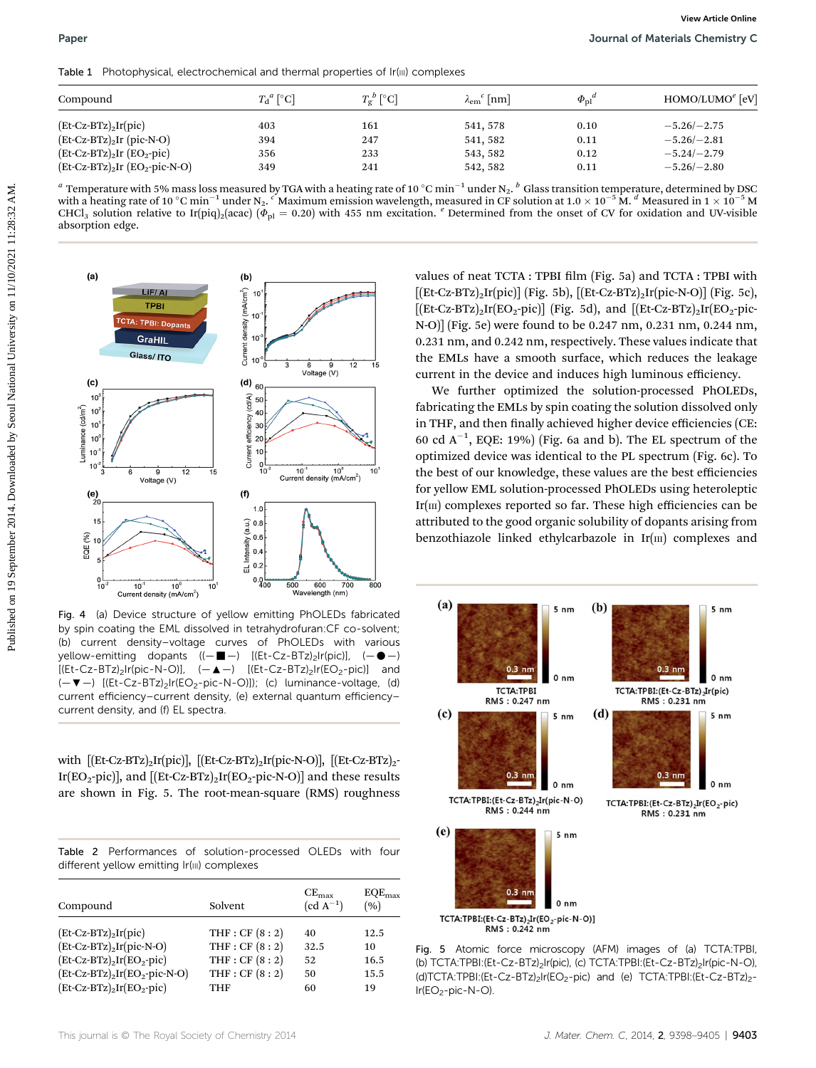Table 1 Photophysical, electrochemical and thermal properties of Ir(III) complexes

| Compound                           | $T_{\rm d}^{\ \ a}$ [°C] | $T_p^b$ [°C] | $\lambda_{\rm em}^{\ \ c}$ [nm] | $\Phi_{\rm nl}{}^a$ | $HOMO/LUMOe$ [eV] |
|------------------------------------|--------------------------|--------------|---------------------------------|---------------------|-------------------|
| $(Et-Cz-BTz)$ <sub>2</sub> Ir(pic) | 403                      | 161          | 541, 578                        | 0.10                | $-5.26/-2.75$     |
| $(Et-Cz-BTz)_{2}Ir(pic-N-O)$       | 394                      | 247          | 541, 582                        | 0.11                | $-5.26 - 2.81$    |
| $(Et-Cz-BTz)_{2}Ir(Dz-pic)$        | 356                      | 233          | 543, 582                        | 0.12                | $-5.24/-2.79$     |
| $[Et-Cz-BTz]_2Ir (EO_2-pic-N-O)$   | 349                      | 241          | 542, 582                        | 0.11                | $-5.26/-2.80$     |

<sup>a</sup> Temperature with 5% mass loss measured by TGA with a heating rate of 10 °C min<sup>-1</sup> under N<sub>2</sub>. <sup>b</sup> Glass transition temperature, determined by DSC with a heating rate of 10 °C min<sup>-1</sup> under N<sub>2</sub>. CMaximum emission wavelength, measured in CF solution at 1.0  $\times$  10<sup>-5</sup> M. d Measured in 1  $\times$  10<sup>-5</sup> M CHCl<sub>3</sub> solution relative to Ir(piq)<sub>2</sub>(acac) ( $\bar{\phi}_{\text{pl}}$  = 0.20) with 455 nm excitation. <sup>e</sup> Determined from the onset of CV for oxidation and UV-visible absorption edge.



Fig. 4 (a) Device structure of yellow emitting PhOLEDs fabricated by spin coating the EML dissolved in tetrahydrofuran:CF co-solvent; (b) current density–voltage curves of PhOLEDs with various yellow-emitting dopants  $((- \blacksquare - )$   $[(Et-Cz-BTz)_2]r(pic)], (-\blacksquare - )$  $[(Et-Cz-BTz)<sub>2</sub>Ir(pic-N-O)], (-\triangle -) [(Et-Cz-BTz)<sub>2</sub>Ir(EO<sub>2</sub>-pic)]$  and  $(-\blacktriangledown -)$  [(Et-Cz-BTz)<sub>2</sub>Ir(EO<sub>2</sub>-pic-N-O)]); (c) luminance-voltage, (d) current efficiency–current density, (e) external quantum efficiency– current density, and (f) EL spectra.

with  $[(Et-Cz-BTz)_{2}Ir(pic)]$ ,  $[(Et-Cz-BTz)_{2}Ir(pic-N-O)]$ ,  $[(Et-Cz-BTz)_{2}$ -Ir(EO<sub>2</sub>-pic)], and  $[(Et-Cz-BTz)<sub>2</sub>Ir(EO<sub>2</sub>-pic-N-O)]$  and these results are shown in Fig. 5. The root-mean-square (RMS) roughness

|  |                                             | Table 2 Performances of solution-processed OLEDs with four |  |  |
|--|---------------------------------------------|------------------------------------------------------------|--|--|
|  | different yellow emitting Ir(iii) complexes |                                                            |  |  |

| Compound                            | Solvent         | $CE_{\text{max}}$<br>$(cd A^{-1})$ | $EQE_{\text{max}}$<br>(9) |
|-------------------------------------|-----------------|------------------------------------|---------------------------|
| $(Et-Cz-BTz)$ <sub>2</sub> Ir(pic)  | THF : $CF(8:2)$ | 40                                 | 12.5                      |
| $(Et-Cz-BTz)_{2}Ir(pic-N-O)$        | THF : $CF(8:2)$ | 32.5                               | 10                        |
| $(Et-Cz-BTz)_{2}Ir(EO_{2}-pic)$     | THF : $CF(8:2)$ | 52                                 | 16.5                      |
| $(Et-Cz-BTz)_{2}Ir(EO_{2}-pic-N-O)$ | THF : $CF(8:2)$ | 50                                 | 15.5                      |
| $(Et-Cz-BTz)_{2}Ir(EO_{2}-pic)$     | THF             | 60                                 | 19                        |

values of neat TCTA : TPBI film (Fig. 5a) and TCTA : TPBI with [(Et-Cz-BTz)<sub>2</sub>Ir(pic)] (Fig. 5b), [(Et-Cz-BTz)<sub>2</sub>Ir(pic-N-O)] (Fig. 5c),  $[(Et-Cz-BTz)<sub>2</sub>Ir(EO<sub>2</sub>-pic)]$  (Fig. 5d), and  $[(Et-Cz-BTz)<sub>2</sub>Ir(EO<sub>2</sub>-pic-$ N-O)] (Fig. 5e) were found to be 0.247 nm, 0.231 nm, 0.244 nm, 0.231 nm, and 0.242 nm, respectively. These values indicate that the EMLs have a smooth surface, which reduces the leakage current in the device and induces high luminous efficiency.

We further optimized the solution-processed PhOLEDs, fabricating the EMLs by spin coating the solution dissolved only in THF, and then finally achieved higher device efficiencies (CE: 60 cd  $A^{-1}$ , EQE: 19%) (Fig. 6a and b). The EL spectrum of the optimized device was identical to the PL spectrum (Fig. 6c). To the best of our knowledge, these values are the best efficiencies for yellow EML solution-processed PhOLEDs using heteroleptic Ir $(m)$  complexes reported so far. These high efficiencies can be attributed to the good organic solubility of dopants arising from benzothiazole linked ethylcarbazole in  $Ir(m)$  complexes and



Fig. 5 Atomic force microscopy (AFM) images of (a) TCTA:TPBI, (b) TCTA:TPBI:(Et-Cz-BTz)<sub>2</sub>Ir(pic), (c) TCTA:TPBI:(Et-Cz-BTz)<sub>2</sub>Ir(pic-N-O), (d)TCTA:TPBI:(Et-Cz-BTz)2Ir(EO2-pic) and (e) TCTA:TPBI:(Et-Cz-BTz)2-  $Ir(EO<sub>2</sub>-pic-N-O).$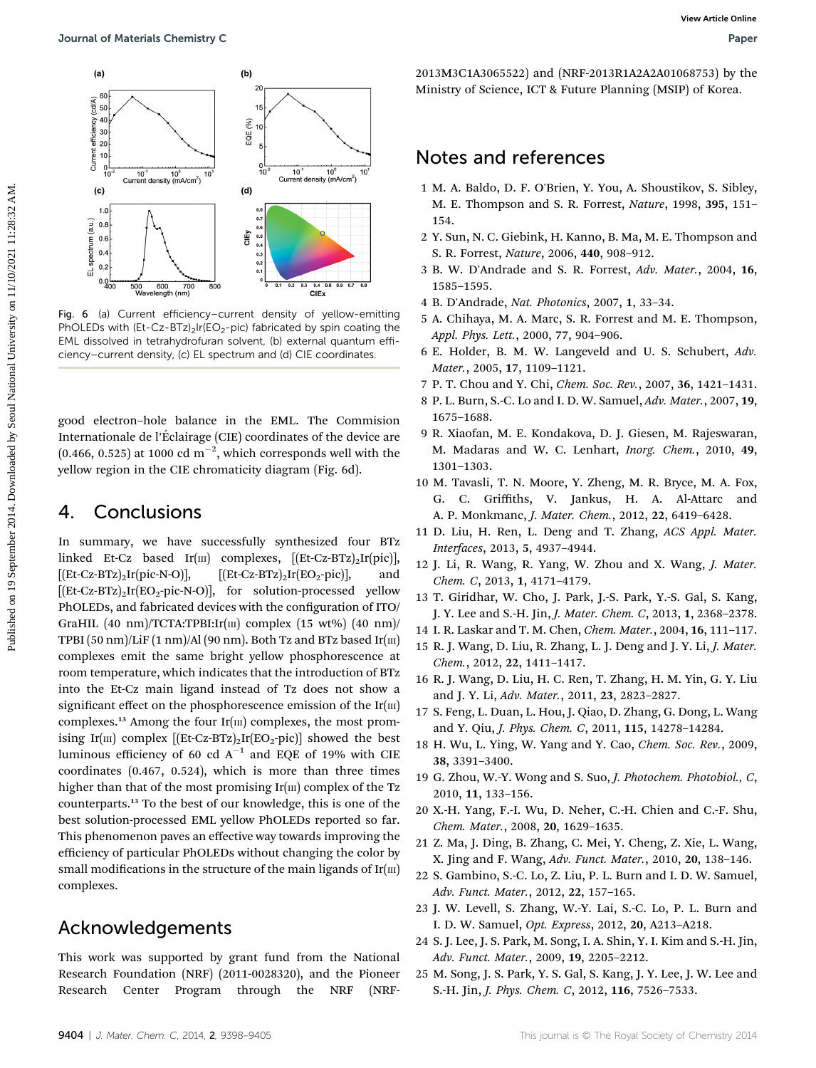

Fig. 6 (a) Current efficiency–current density of yellow-emitting PhOLEDs with  $(Et-Cz-BTz)$ <sub>2</sub>Ir( $EO<sub>2</sub>$ -pic) fabricated by spin coating the EML dissolved in tetrahydrofuran solvent, (b) external quantum efficiency–current density, (c) EL spectrum and (d) CIE coordinates.

good electron–hole balance in the EML. The Commision Internationale de l'Eclairage (CIE) coordinates of the device are ´  $(0.466, 0.525)$  at 1000 cd m<sup>-2</sup>, which corresponds well with the yellow region in the CIE chromaticity diagram (Fig. 6d).

## 4. Conclusions

In summary, we have successfully synthesized four BTz linked Et-Cz based Ir( $\text{III}$ ) complexes,  $[(Et-Cz-BTz)_2Ir(pic)]$ ,  $[(Et-Cz-BTz)<sub>2</sub>Ir(pic-N-O)],$   $[(Et-Cz-BTz)<sub>2</sub>Ir(EO<sub>2</sub>-pic)],$  and  $[ (Et-Cz-BTz)<sub>2</sub>Ir(EO<sub>2</sub>-pic-N-O) ]$ , for solution-processed yellow PhOLEDs, and fabricated devices with the configuration of ITO/ GraHIL  $(40 \text{ nm})/TCTA$ :TPBI:Ir $(\text{III})$  complex  $(15 \text{ wt\%})$   $(40 \text{ nm})/TCTA$ TPBI  $(50 \text{ nm})$ /LiF $(1 \text{ nm})$ /Al $(90 \text{ nm})$ . Both Tz and BTz based Ir $(\text{III})$ complexes emit the same bright yellow phosphorescence at room temperature, which indicates that the introduction of BTz into the Et-Cz main ligand instead of Tz does not show a significant effect on the phosphorescence emission of the  $Ir(m)$ complexes.<sup>13</sup> Among the four  $Ir(m)$  complexes, the most promising Ir(III) complex  $[(Et-Cz-BTz)<sub>2</sub>Ir(EO<sub>2</sub>-pic)]$  showed the best luminous efficiency of 60 cd  $A^{-1}$  and EQE of 19% with CIE coordinates (0.467, 0.524), which is more than three times higher than that of the most promising  $Ir(m)$  complex of the Tz counterparts.<sup>13</sup> To the best of our knowledge, this is one of the best solution-processed EML yellow PhOLEDs reported so far. This phenomenon paves an effective way towards improving the efficiency of particular PhOLEDs without changing the color by small modifications in the structure of the main ligands of  $Ir(m)$ complexes.

## Acknowledgements

This work was supported by grant fund from the National Research Foundation (NRF) (2011-0028320), and the Pioneer Research Center Program through the NRF (NRF-

2013M3C1A3065522) and (NRF-2013R1A2A2A01068753) by the Ministry of Science, ICT & Future Planning (MSIP) of Korea.

## Notes and references

- 1 M. A. Baldo, D. F. O'Brien, Y. You, A. Shoustikov, S. Sibley, M. E. Thompson and S. R. Forrest, Nature, 1998, 395, 151– 154.
- 2 Y. Sun, N. C. Giebink, H. Kanno, B. Ma, M. E. Thompson and S. R. Forrest, Nature, 2006, 440, 908–912.
- 3 B. W. D'Andrade and S. R. Forrest, Adv. Mater., 2004, 16, 1585–1595.
- 4 B. D'Andrade, Nat. Photonics, 2007, 1, 33–34.
- 5 A. Chihaya, M. A. Marc, S. R. Forrest and M. E. Thompson, Appl. Phys. Lett., 2000, 77, 904–906.
- 6 E. Holder, B. M. W. Langeveld and U. S. Schubert, Adv. Mater., 2005, 17, 1109–1121.
- 7 P. T. Chou and Y. Chi, Chem. Soc. Rev., 2007, 36, 1421–1431.
- 8 P. L. Burn, S.-C. Lo and I. D. W. Samuel, Adv. Mater., 2007, 19, 1675–1688.
- 9 R. Xiaofan, M. E. Kondakova, D. J. Giesen, M. Rajeswaran, M. Madaras and W. C. Lenhart, Inorg. Chem., 2010, 49, 1301–1303.
- 10 M. Tavasli, T. N. Moore, Y. Zheng, M. R. Bryce, M. A. Fox, G. C. Griffiths, V. Jankus, H. A. Al-Attarc and A. P. Monkmanc, J. Mater. Chem., 2012, 22, 6419–6428.
- 11 D. Liu, H. Ren, L. Deng and T. Zhang, ACS Appl. Mater. Interfaces, 2013, 5, 4937–4944.
- 12 J. Li, R. Wang, R. Yang, W. Zhou and X. Wang, J. Mater. Chem. C, 2013, 1, 4171–4179.
- 13 T. Giridhar, W. Cho, J. Park, J.-S. Park, Y.-S. Gal, S. Kang, J. Y. Lee and S.-H. Jin, J. Mater. Chem. C, 2013, 1, 2368–2378.
- 14 I. R. Laskar and T. M. Chen, Chem. Mater., 2004, 16, 111–117.
- 15 R. J. Wang, D. Liu, R. Zhang, L. J. Deng and J. Y. Li, J. Mater. Chem., 2012, 22, 1411–1417.
- 16 R. J. Wang, D. Liu, H. C. Ren, T. Zhang, H. M. Yin, G. Y. Liu and J. Y. Li, Adv. Mater., 2011, 23, 2823–2827.
- 17 S. Feng, L. Duan, L. Hou, J. Qiao, D. Zhang, G. Dong, L. Wang and Y. Qiu, J. Phys. Chem. C, 2011, 115, 14278–14284.
- 18 H. Wu, L. Ying, W. Yang and Y. Cao, Chem. Soc. Rev., 2009, 38, 3391–3400.
- 19 G. Zhou, W.-Y. Wong and S. Suo, J. Photochem. Photobiol., C, 2010, 11, 133–156.
- 20 X.-H. Yang, F.-I. Wu, D. Neher, C.-H. Chien and C.-F. Shu, Chem. Mater., 2008, 20, 1629–1635.
- 21 Z. Ma, J. Ding, B. Zhang, C. Mei, Y. Cheng, Z. Xie, L. Wang, X. Jing and F. Wang, Adv. Funct. Mater., 2010, 20, 138–146.
- 22 S. Gambino, S.-C. Lo, Z. Liu, P. L. Burn and I. D. W. Samuel, Adv. Funct. Mater., 2012, 22, 157–165.
- 23 J. W. Levell, S. Zhang, W.-Y. Lai, S.-C. Lo, P. L. Burn and I. D. W. Samuel, Opt. Express, 2012, 20, A213–A218.
- 24 S. J. Lee, J. S. Park, M. Song, I. A. Shin, Y. I. Kim and S.-H. Jin, Adv. Funct. Mater., 2009, 19, 2205–2212.
- 25 M. Song, J. S. Park, Y. S. Gal, S. Kang, J. Y. Lee, J. W. Lee and S.-H. Jin, J. Phys. Chem. C, 2012, 116, 7526–7533.